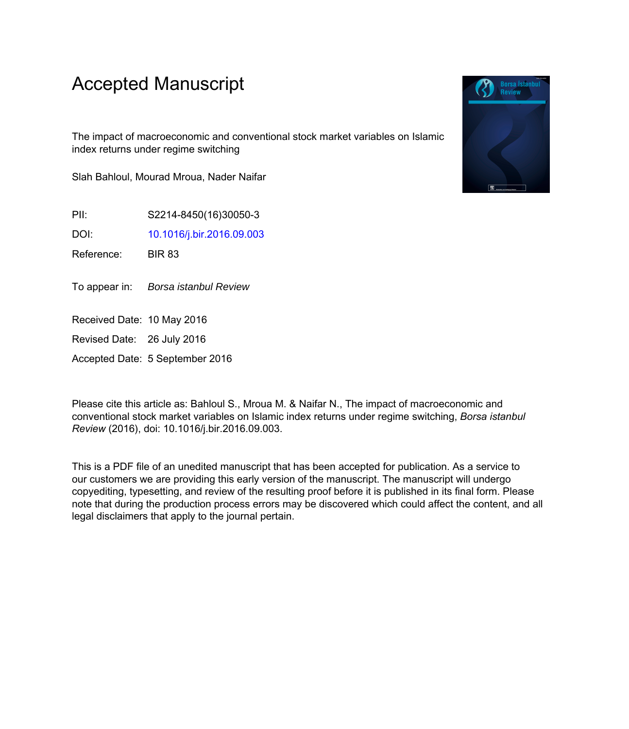## Accepted Manuscript

The impact of macroeconomic and conventional stock market variables on Islamic index returns under regime switching

Slah Bahloul, Mourad Mroua, Nader Naifar

PII: S2214-8450(16)30050-3

DOI: [10.1016/j.bir.2016.09.003](http://dx.doi.org/10.1016/j.bir.2016.09.003)

Reference: BIR 83

To appear in: Borsa istanbul Review

Received Date: 10 May 2016

Revised Date: 26 July 2016

Accepted Date: 5 September 2016

Please cite this article as: Bahloul S., Mroua M. & Naifar N., The impact of macroeconomic and conventional stock market variables on Islamic index returns under regime switching, *Borsa istanbul Review* (2016), doi: 10.1016/j.bir.2016.09.003.

This is a PDF file of an unedited manuscript that has been accepted for publication. As a service to our customers we are providing this early version of the manuscript. The manuscript will undergo copyediting, typesetting, and review of the resulting proof before it is published in its final form. Please note that during the production process errors may be discovered which could affect the content, and all legal disclaimers that apply to the journal pertain.

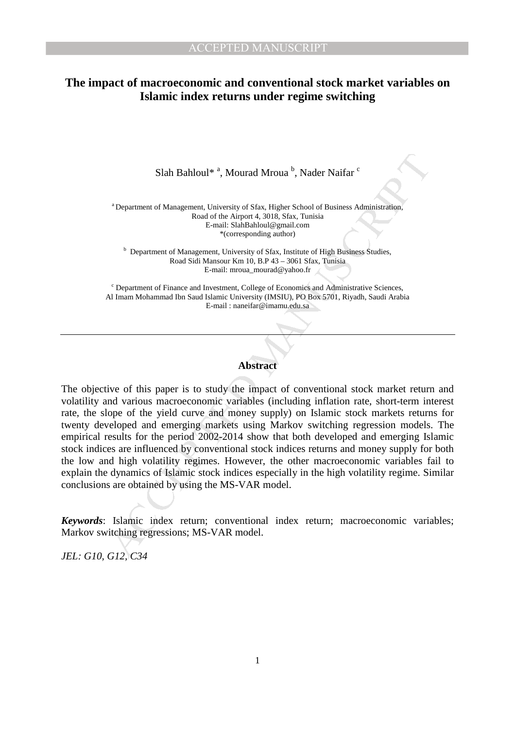## **The impact of macroeconomic and conventional stock market variables on Islamic index returns under regime switching**

Slah Bahloul\*<sup>a</sup>, Mourad Mroua<sup>b</sup>, Nader Naifar <sup>c</sup>

<sup>a</sup> Department of Management, University of Sfax, Higher School of Business Administration, Road of the Airport 4, 3018, Sfax, Tunisia E-mail: SlahBahloul@gmail.com \*(corresponding author)

<sup>b</sup> Department of Management, University of Sfax, Institute of High Business Studies, Road Sidi Mansour Km 10, B.P 43 – 3061 Sfax, Tunisia E-mail: mroua\_mourad@yahoo.fr

<sup>c</sup> Department of Finance and Investment, College of Economics and Administrative Sciences, Al Imam Mohammad Ibn Saud Islamic University (IMSIU), PO Box 5701, Riyadh, Saudi Arabia E-mail : naneifar@imamu.edu.sa

## **Abstract**

Slah Bahloul<sup>8</sup><sup>4</sup>, Mourad Mroua<sup>b</sup>, Nader Naifar <sup>c</sup><br>
"Department of Management, University of Sfax, Higher School of Business Administration,<br>
Road of the highor 4, 3018, Sfax, Tunisia<br>
"corresponding author"<br>
"Correspo The objective of this paper is to study the impact of conventional stock market return and volatility and various macroeconomic variables (including inflation rate, short-term interest rate, the slope of the yield curve and money supply) on Islamic stock markets returns for twenty developed and emerging markets using Markov switching regression models. The empirical results for the period 2002-2014 show that both developed and emerging Islamic stock indices are influenced by conventional stock indices returns and money supply for both the low and high volatility regimes. However, the other macroeconomic variables fail to explain the dynamics of Islamic stock indices especially in the high volatility regime. Similar conclusions are obtained by using the MS-VAR model.

*Keywords*: Islamic index return; conventional index return; macroeconomic variables; Markov switching regressions; MS-VAR model.

*JEL: G10, G12, C34*